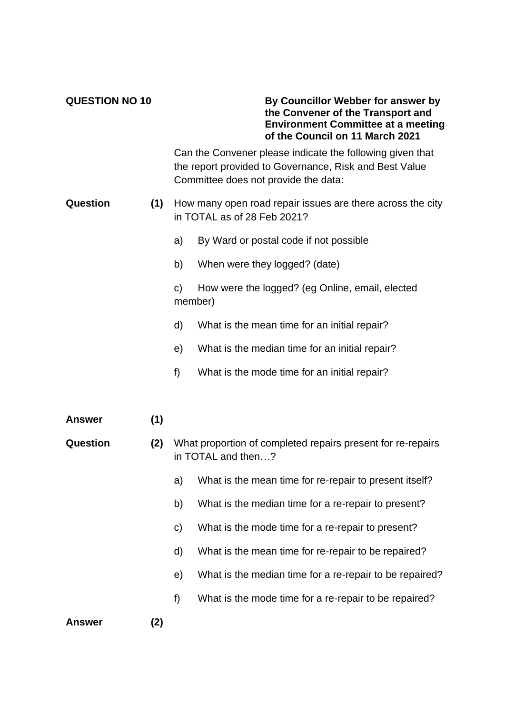## **QUESTION NO 10 By Councillor Webber for answer by the Convener of the Transport and Environment Committee at a meeting of the Council on 11 March 2021**

Can the Convener please indicate the following given that the report provided to Governance, Risk and Best Value Committee does not provide the data:

## **Question (1)** How many open road repair issues are there across the city in TOTAL as of 28 Feb 2021?

- a) By Ward or postal code if not possible
- b) When were they logged? (date)

c) How were the logged? (eg Online, email, elected member)

- d) What is the mean time for an initial repair?
- e) What is the median time for an initial repair?
- f) What is the mode time for an initial repair?
- **Answer (1)**
- **Question (2)** What proportion of completed repairs present for re-repairs in TOTAL and then…?
	- a) What is the mean time for re-repair to present itself?
	- b) What is the median time for a re-repair to present?
	- c) What is the mode time for a re-repair to present?
	- d) What is the mean time for re-repair to be repaired?
	- e) What is the median time for a re-repair to be repaired?
	- f) What is the mode time for a re-repair to be repaired?

**Answer (2)**